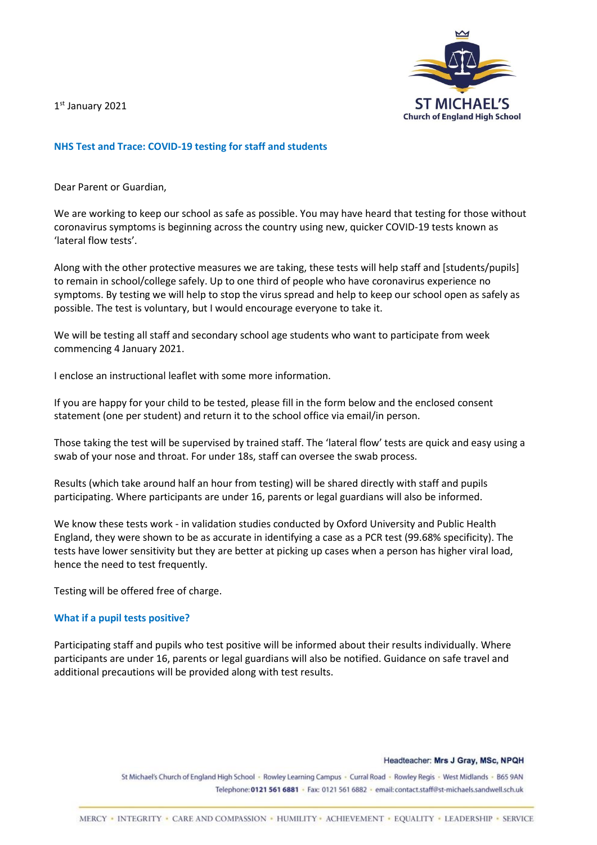1 st January 2021



## **NHS Test and Trace: COVID-19 testing for staff and students**

Dear Parent or Guardian,

We are working to keep our school as safe as possible. You may have heard that testing for those without coronavirus symptoms is beginning across the country using new, quicker COVID-19 tests known as 'lateral flow tests'.

Along with the other protective measures we are taking, these tests will help staff and [students/pupils] to remain in school/college safely. Up to one third of people who have coronavirus experience no symptoms. By testing we will help to stop the virus spread and help to keep our school open as safely as possible. The test is voluntary, but I would encourage everyone to take it.

We will be testing all staff and secondary school age students who want to participate from week commencing 4 January 2021.

I enclose an instructional leaflet with some more information.

If you are happy for your child to be tested, please fill in the form below and the enclosed consent statement (one per student) and return it to the school office via email/in person.

Those taking the test will be supervised by trained staff. The 'lateral flow' tests are quick and easy using a swab of your nose and throat. For under 18s, staff can oversee the swab process.

Results (which take around half an hour from testing) will be shared directly with staff and pupils participating. Where participants are under 16, parents or legal guardians will also be informed.

We know these tests work - in validation studies conducted by Oxford University and Public Health England, they were shown to be as accurate in identifying a case as a PCR test (99.68% specificity). The tests have lower sensitivity but they are better at picking up cases when a person has higher viral load, hence the need to test frequently.

Testing will be offered free of charge.

### **What if a pupil tests positive?**

Participating staff and pupils who test positive will be informed about their results individually. Where participants are under 16, parents or legal guardians will also be notified. Guidance on safe travel and additional precautions will be provided along with test results.

Headteacher: Mrs J Gray, MSc, NPQH

St Michael's Church of England High School - Rowley Learning Campus - Curral Road - Rowley Regis - West Midlands - B65 9AN Telephone: 0121 561 6881 · Fax: 0121 561 6882 · email: contact.staff@st-michaels.sandwell.sch.uk